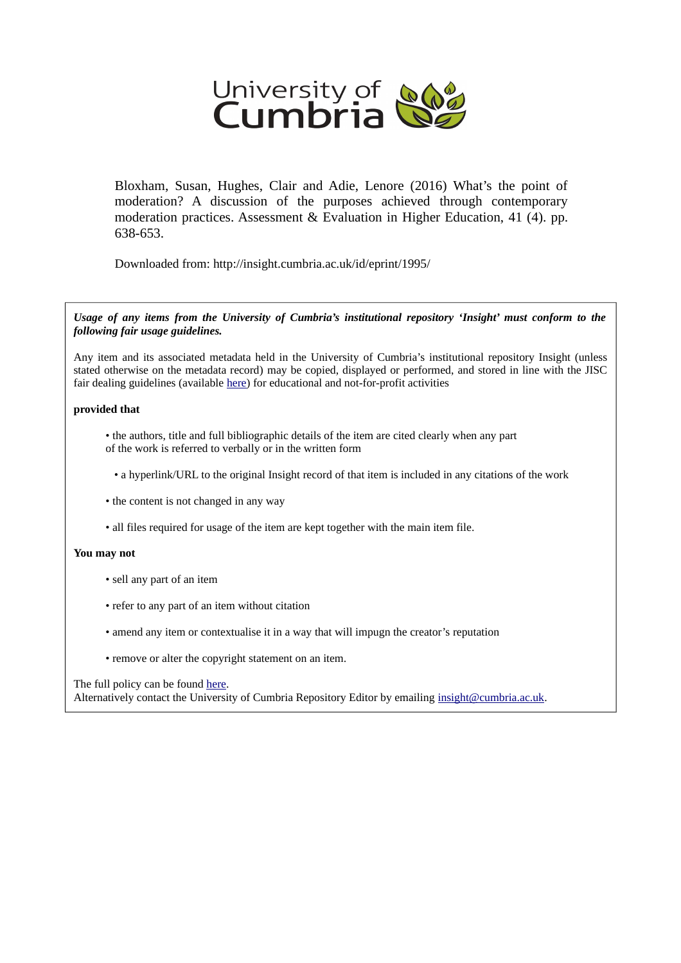

Bloxham, Susan, Hughes, Clair and Adie, Lenore (2016) What's the point of moderation? A discussion of the purposes achieved through contemporary moderation practices. Assessment & Evaluation in Higher Education, 41 (4). pp. 638-653.

Downloaded from: http://insight.cumbria.ac.uk/id/eprint/1995/

*Usage of any items from the University of Cumbria's institutional repository 'Insight' must conform to the following fair usage guidelines.*

Any item and its associated metadata held in the University of Cumbria's institutional repository Insight (unless stated otherwise on the metadata record) may be copied, displayed or performed, and stored in line with the JISC fair dealing guidelines (available [here\)](http://www.ukoln.ac.uk/services/elib/papers/pa/fair/) for educational and not-for-profit activities

#### **provided that**

• the authors, title and full bibliographic details of the item are cited clearly when any part of the work is referred to verbally or in the written form

• a hyperlink/URL to the original Insight record of that item is included in any citations of the work

- the content is not changed in any way
- all files required for usage of the item are kept together with the main item file.

#### **You may not**

- sell any part of an item
- refer to any part of an item without citation
- amend any item or contextualise it in a way that will impugn the creator's reputation
- remove or alter the copyright statement on an item.

#### The full policy can be found [here.](http://insight.cumbria.ac.uk/legal.html#section5)

Alternatively contact the University of Cumbria Repository Editor by emailing [insight@cumbria.ac.uk.](mailto:insight@cumbria.ac.uk)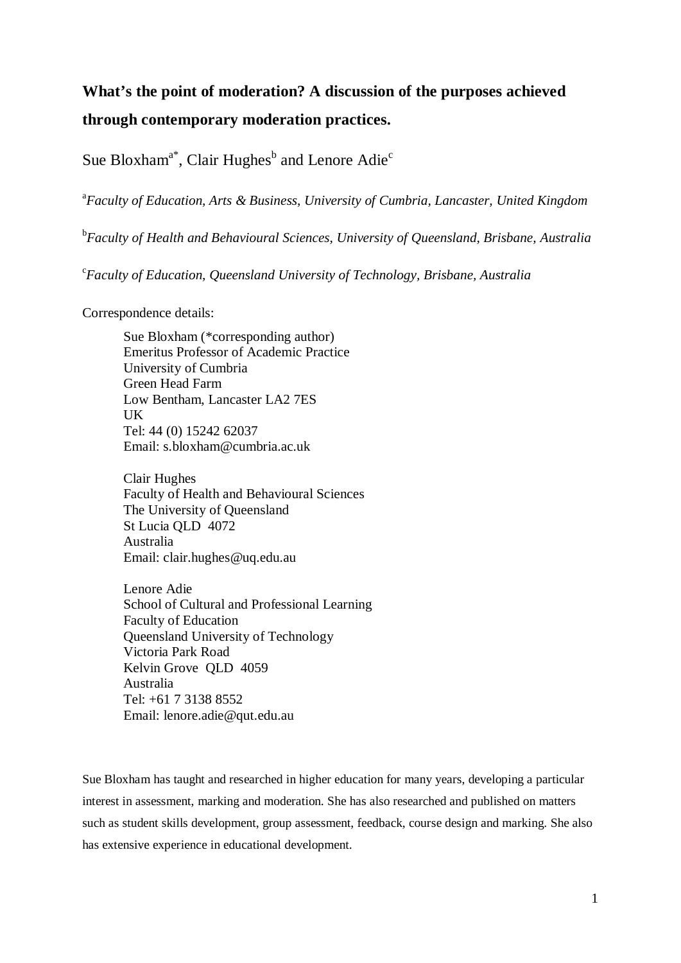# **What's the point of moderation? A discussion of the purposes achieved through contemporary moderation practices.**

Sue Bloxham<sup>a\*</sup>, Clair Hughes<sup>b</sup> and Lenore Adie<sup>c</sup>

a *Faculty of Education, Arts & Business, University of Cumbria, Lancaster, United Kingdom*

b *Faculty of Health and Behavioural Sciences, University of Queensland, Brisbane, Australia*

c *Faculty of Education, Queensland University of Technology, Brisbane, Australia*

Correspondence details:

Sue Bloxham (\*corresponding author) Emeritus Professor of Academic Practice University of Cumbria Green Head Farm Low Bentham, Lancaster LA2 7ES UK Tel: 44 (0) 15242 62037 Email: s.bloxham@cumbria.ac.uk

Clair Hughes Faculty of Health and Behavioural Sciences The University of Queensland St Lucia QLD 4072 Australia Email: clair.hughes@uq.edu.au

Lenore Adie School of Cultural and Professional Learning Faculty of Education Queensland University of Technology Victoria Park Road Kelvin Grove QLD 4059 Australia Tel: +61 7 3138 8552 Email: lenore.adie@qut.edu.au

Sue Bloxham has taught and researched in higher education for many years, developing a particular interest in assessment, marking and moderation. She has also researched and published on matters such as student skills development, group assessment, feedback, course design and marking. She also has extensive experience in educational development.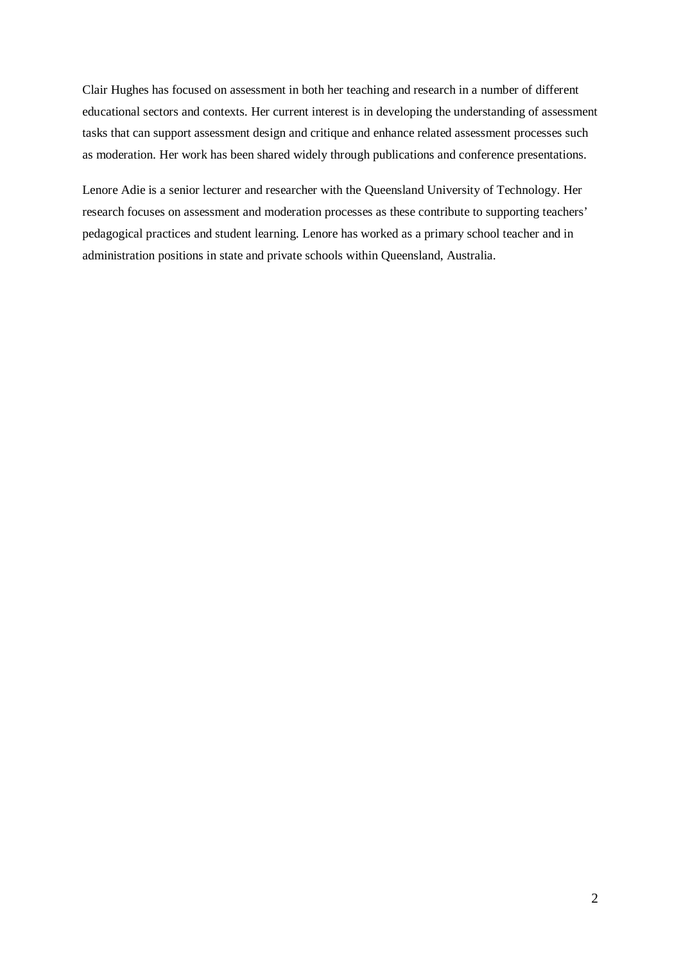Clair Hughes has focused on assessment in both her teaching and research in a number of different educational sectors and contexts. Her current interest is in developing the understanding of assessment tasks that can support assessment design and critique and enhance related assessment processes such as moderation. Her work has been shared widely through publications and conference presentations.

Lenore Adie is a senior lecturer and researcher with the Queensland University of Technology. Her research focuses on assessment and moderation processes as these contribute to supporting teachers' pedagogical practices and student learning. Lenore has worked as a primary school teacher and in administration positions in state and private schools within Queensland, Australia.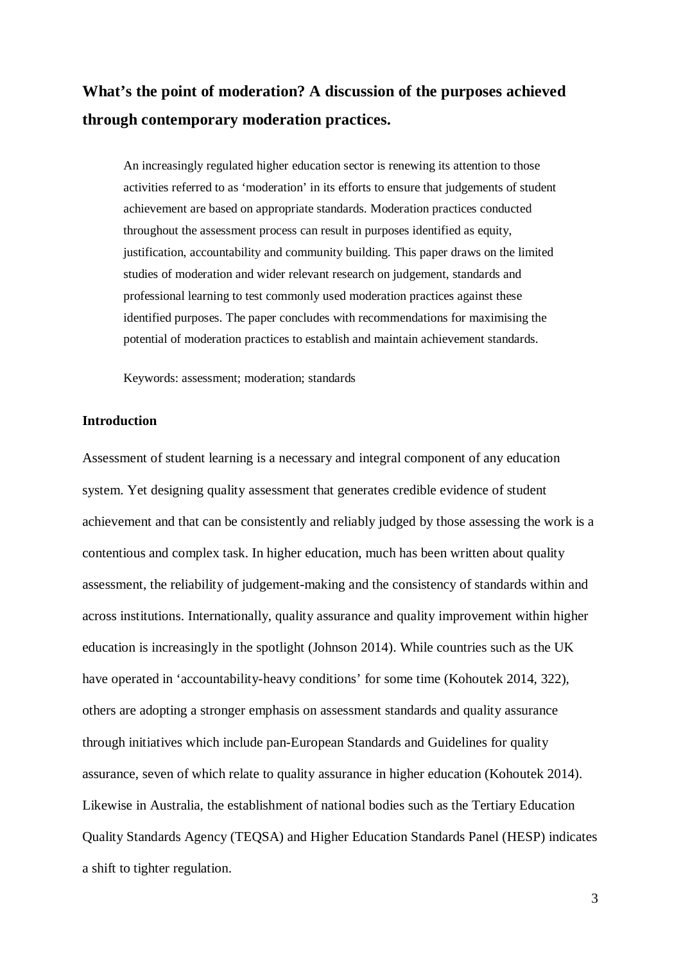## **What's the point of moderation? A discussion of the purposes achieved through contemporary moderation practices.**

An increasingly regulated higher education sector is renewing its attention to those activities referred to as 'moderation' in its efforts to ensure that judgements of student achievement are based on appropriate standards. Moderation practices conducted throughout the assessment process can result in purposes identified as equity, justification, accountability and community building. This paper draws on the limited studies of moderation and wider relevant research on judgement, standards and professional learning to test commonly used moderation practices against these identified purposes. The paper concludes with recommendations for maximising the potential of moderation practices to establish and maintain achievement standards.

Keywords: assessment; moderation; standards

## **Introduction**

Assessment of student learning is a necessary and integral component of any education system. Yet designing quality assessment that generates credible evidence of student achievement and that can be consistently and reliably judged by those assessing the work is a contentious and complex task. In higher education, much has been written about quality assessment, the reliability of judgement-making and the consistency of standards within and across institutions. Internationally, quality assurance and quality improvement within higher education is increasingly in the spotlight (Johnson 2014). While countries such as the UK have operated in 'accountability-heavy conditions' for some time (Kohoutek 2014, 322), others are adopting a stronger emphasis on assessment standards and quality assurance through initiatives which include pan-European Standards and Guidelines for quality assurance, seven of which relate to quality assurance in higher education (Kohoutek 2014). Likewise in Australia, the establishment of national bodies such as the Tertiary Education Quality Standards Agency (TEQSA) and Higher Education Standards Panel (HESP) indicates a shift to tighter regulation.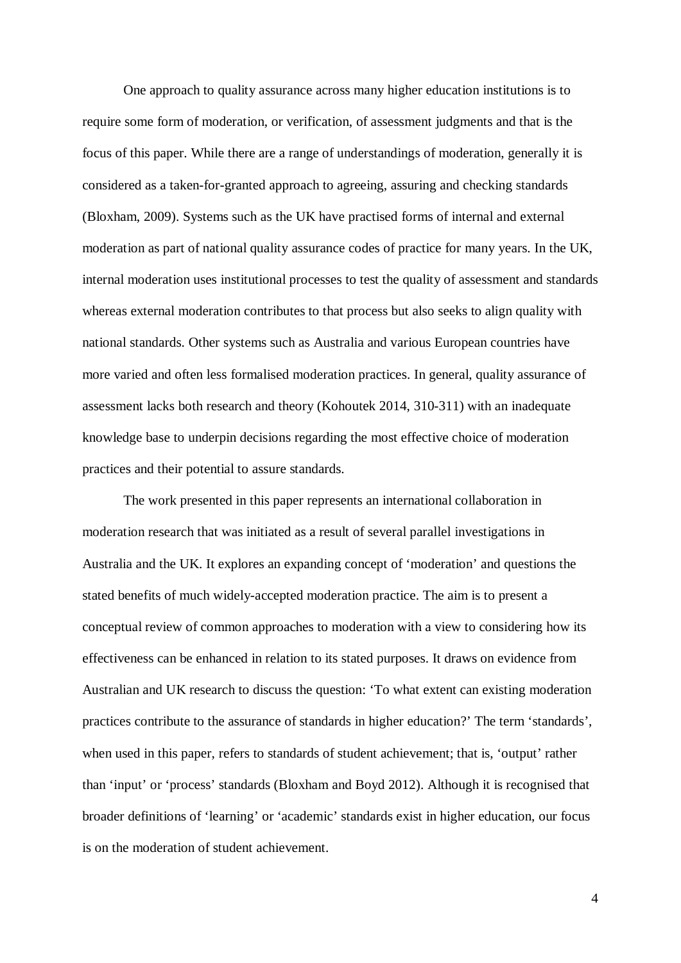One approach to quality assurance across many higher education institutions is to require some form of moderation, or verification, of assessment judgments and that is the focus of this paper. While there are a range of understandings of moderation, generally it is considered as a taken-for-granted approach to agreeing, assuring and checking standards (Bloxham, 2009). Systems such as the UK have practised forms of internal and external moderation as part of national quality assurance codes of practice for many years. In the UK, internal moderation uses institutional processes to test the quality of assessment and standards whereas external moderation contributes to that process but also seeks to align quality with national standards. Other systems such as Australia and various European countries have more varied and often less formalised moderation practices. In general, quality assurance of assessment lacks both research and theory (Kohoutek 2014, 310-311) with an inadequate knowledge base to underpin decisions regarding the most effective choice of moderation practices and their potential to assure standards.

The work presented in this paper represents an international collaboration in moderation research that was initiated as a result of several parallel investigations in Australia and the UK. It explores an expanding concept of 'moderation' and questions the stated benefits of much widely-accepted moderation practice. The aim is to present a conceptual review of common approaches to moderation with a view to considering how its effectiveness can be enhanced in relation to its stated purposes. It draws on evidence from Australian and UK research to discuss the question: 'To what extent can existing moderation practices contribute to the assurance of standards in higher education?' The term 'standards', when used in this paper, refers to standards of student achievement; that is, 'output' rather than 'input' or 'process' standards (Bloxham and Boyd 2012). Although it is recognised that broader definitions of 'learning' or 'academic' standards exist in higher education, our focus is on the moderation of student achievement.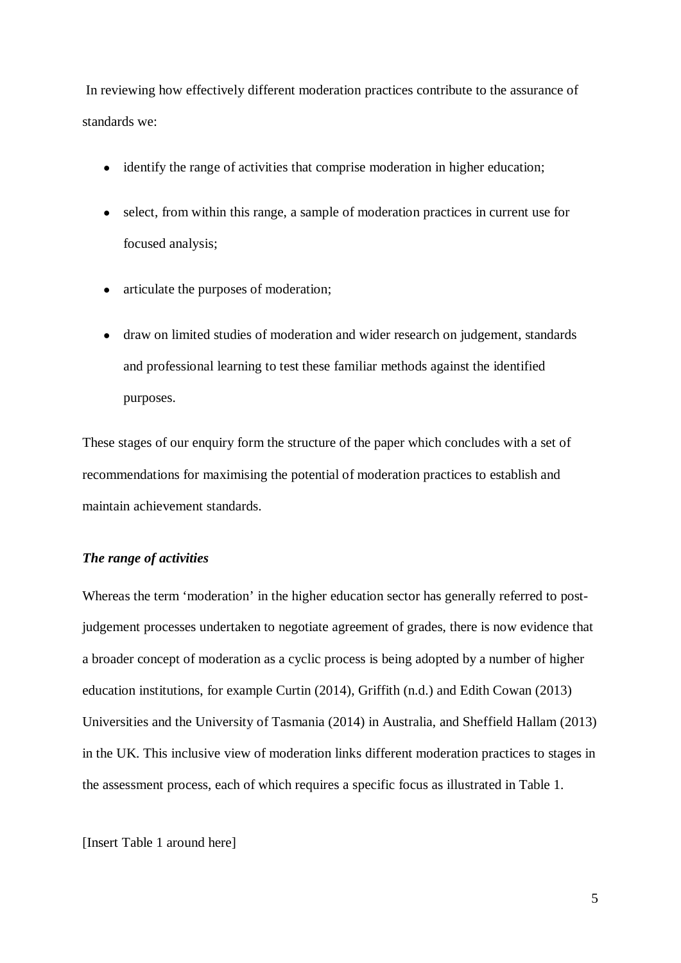In reviewing how effectively different moderation practices contribute to the assurance of standards we:

- identify the range of activities that comprise moderation in higher education;
- select, from within this range, a sample of moderation practices in current use for focused analysis;
- articulate the purposes of moderation;
- draw on limited studies of moderation and wider research on judgement, standards and professional learning to test these familiar methods against the identified purposes.

These stages of our enquiry form the structure of the paper which concludes with a set of recommendations for maximising the potential of moderation practices to establish and maintain achievement standards.

## *The range of activities*

Whereas the term 'moderation' in the higher education sector has generally referred to postjudgement processes undertaken to negotiate agreement of grades, there is now evidence that a broader concept of moderation as a cyclic process is being adopted by a number of higher education institutions, for example Curtin (2014), Griffith (n.d.) and Edith Cowan (2013) Universities and the University of Tasmania (2014) in Australia, and Sheffield Hallam (2013) in the UK. This inclusive view of moderation links different moderation practices to stages in the assessment process, each of which requires a specific focus as illustrated in Table 1.

[Insert Table 1 around here]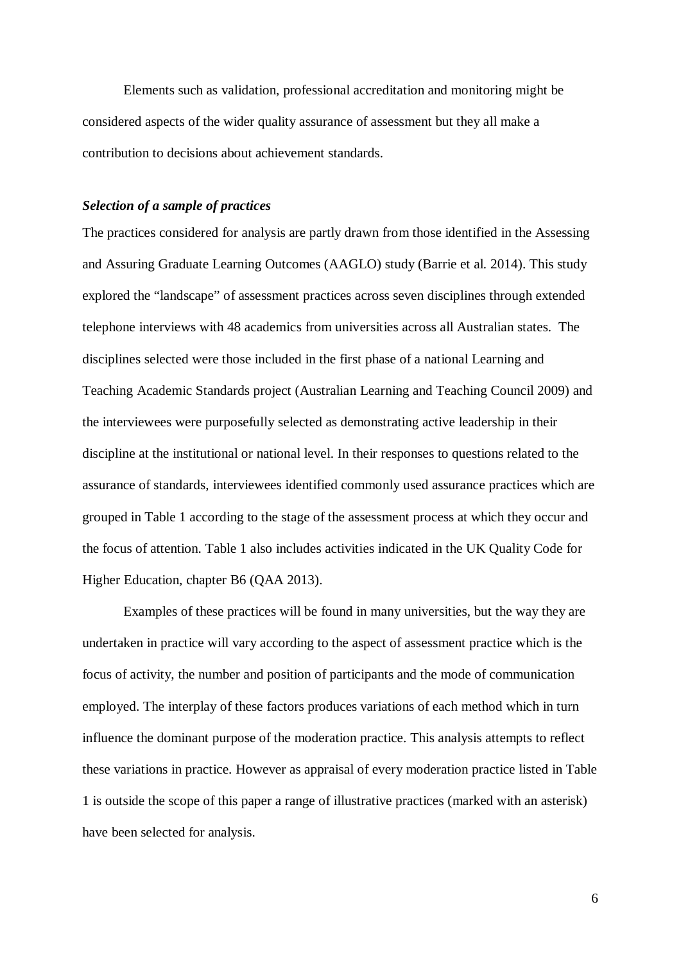Elements such as validation, professional accreditation and monitoring might be considered aspects of the wider quality assurance of assessment but they all make a contribution to decisions about achievement standards.

## *Selection of a sample of practices*

The practices considered for analysis are partly drawn from those identified in the Assessing and Assuring Graduate Learning Outcomes (AAGLO) study (Barrie et al. 2014). This study explored the "landscape" of assessment practices across seven disciplines through extended telephone interviews with 48 academics from universities across all Australian states. The disciplines selected were those included in the first phase of a national Learning and Teaching Academic Standards project (Australian Learning and Teaching Council 2009) and the interviewees were purposefully selected as demonstrating active leadership in their discipline at the institutional or national level. In their responses to questions related to the assurance of standards, interviewees identified commonly used assurance practices which are grouped in Table 1 according to the stage of the assessment process at which they occur and the focus of attention. Table 1 also includes activities indicated in the UK Quality Code for Higher Education, chapter B6 (QAA 2013).

Examples of these practices will be found in many universities, but the way they are undertaken in practice will vary according to the aspect of assessment practice which is the focus of activity, the number and position of participants and the mode of communication employed. The interplay of these factors produces variations of each method which in turn influence the dominant purpose of the moderation practice. This analysis attempts to reflect these variations in practice. However as appraisal of every moderation practice listed in Table 1 is outside the scope of this paper a range of illustrative practices (marked with an asterisk) have been selected for analysis.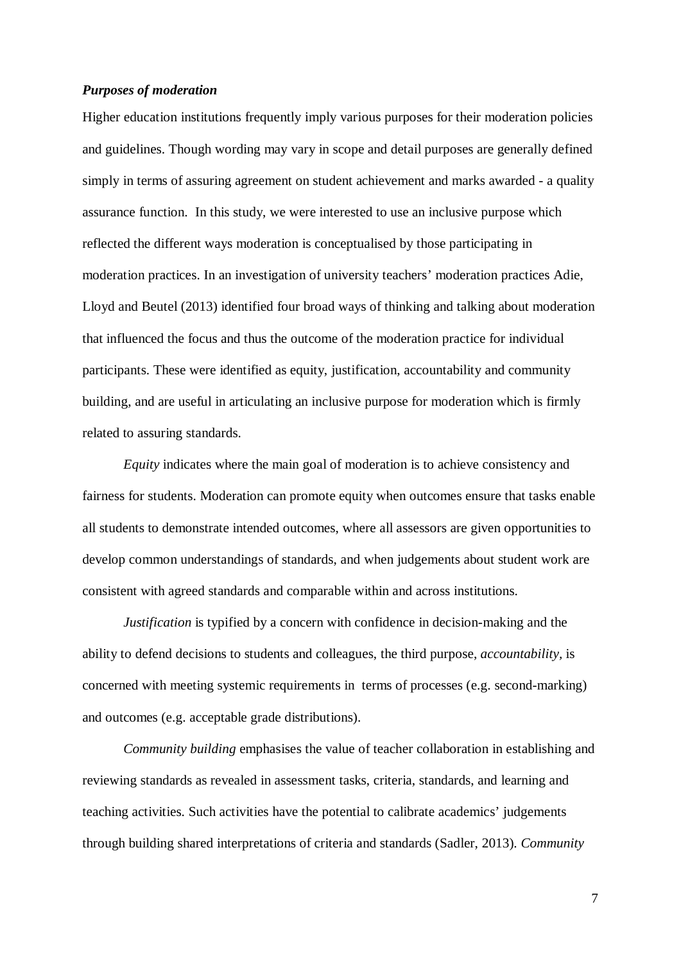### *Purposes of moderation*

Higher education institutions frequently imply various purposes for their moderation policies and guidelines. Though wording may vary in scope and detail purposes are generally defined simply in terms of assuring agreement on student achievement and marks awarded - a quality assurance function. In this study, we were interested to use an inclusive purpose which reflected the different ways moderation is conceptualised by those participating in moderation practices. In an investigation of university teachers' moderation practices Adie, Lloyd and Beutel (2013) identified four broad ways of thinking and talking about moderation that influenced the focus and thus the outcome of the moderation practice for individual participants. These were identified as equity, justification, accountability and community building, and are useful in articulating an inclusive purpose for moderation which is firmly related to assuring standards.

*Equity* indicates where the main goal of moderation is to achieve consistency and fairness for students. Moderation can promote equity when outcomes ensure that tasks enable all students to demonstrate intended outcomes, where all assessors are given opportunities to develop common understandings of standards, and when judgements about student work are consistent with agreed standards and comparable within and across institutions.

*Justification* is typified by a concern with confidence in decision-making and the ability to defend decisions to students and colleagues, the third purpose, *accountability,* is concerned with meeting systemic requirements in terms of processes (e.g. second-marking) and outcomes (e.g. acceptable grade distributions).

*Community building* emphasises the value of teacher collaboration in establishing and reviewing standards as revealed in assessment tasks, criteria, standards, and learning and teaching activities. Such activities have the potential to calibrate academics' judgements through building shared interpretations of criteria and standards (Sadler, 2013). *Community*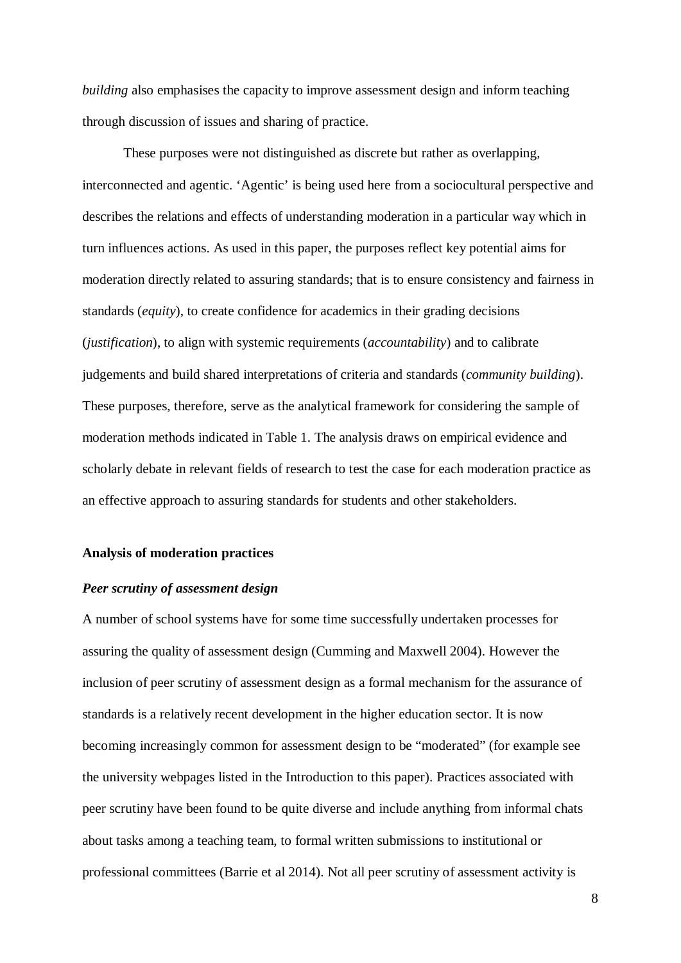*building* also emphasises the capacity to improve assessment design and inform teaching through discussion of issues and sharing of practice.

These purposes were not distinguished as discrete but rather as overlapping, interconnected and agentic. 'Agentic' is being used here from a sociocultural perspective and describes the relations and effects of understanding moderation in a particular way which in turn influences actions. As used in this paper, the purposes reflect key potential aims for moderation directly related to assuring standards; that is to ensure consistency and fairness in standards (*equity*), to create confidence for academics in their grading decisions (*justification*), to align with systemic requirements (*accountability*) and to calibrate judgements and build shared interpretations of criteria and standards (*community building*). These purposes, therefore, serve as the analytical framework for considering the sample of moderation methods indicated in Table 1. The analysis draws on empirical evidence and scholarly debate in relevant fields of research to test the case for each moderation practice as an effective approach to assuring standards for students and other stakeholders.

#### **Analysis of moderation practices**

#### *Peer scrutiny of assessment design*

A number of school systems have for some time successfully undertaken processes for assuring the quality of assessment design (Cumming and Maxwell 2004). However the inclusion of peer scrutiny of assessment design as a formal mechanism for the assurance of standards is a relatively recent development in the higher education sector. It is now becoming increasingly common for assessment design to be "moderated" (for example see the university webpages listed in the Introduction to this paper). Practices associated with peer scrutiny have been found to be quite diverse and include anything from informal chats about tasks among a teaching team, to formal written submissions to institutional or professional committees (Barrie et al 2014). Not all peer scrutiny of assessment activity is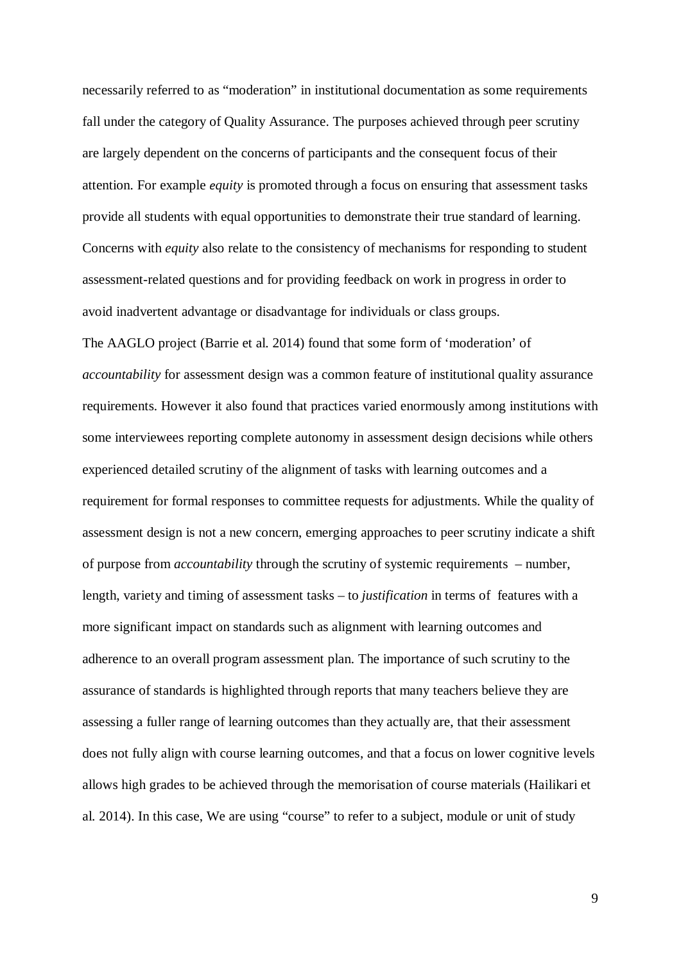necessarily referred to as "moderation" in institutional documentation as some requirements fall under the category of Quality Assurance. The purposes achieved through peer scrutiny are largely dependent on the concerns of participants and the consequent focus of their attention. For example *equity* is promoted through a focus on ensuring that assessment tasks provide all students with equal opportunities to demonstrate their true standard of learning. Concerns with *equity* also relate to the consistency of mechanisms for responding to student assessment-related questions and for providing feedback on work in progress in order to avoid inadvertent advantage or disadvantage for individuals or class groups. The AAGLO project (Barrie et al. 2014) found that some form of 'moderation' of *accountability* for assessment design was a common feature of institutional quality assurance requirements. However it also found that practices varied enormously among institutions with some interviewees reporting complete autonomy in assessment design decisions while others experienced detailed scrutiny of the alignment of tasks with learning outcomes and a requirement for formal responses to committee requests for adjustments. While the quality of assessment design is not a new concern, emerging approaches to peer scrutiny indicate a shift of purpose from *accountability* through the scrutiny of systemic requirements – number, length, variety and timing of assessment tasks – to *justification* in terms of features with a more significant impact on standards such as alignment with learning outcomes and adherence to an overall program assessment plan. The importance of such scrutiny to the assurance of standards is highlighted through reports that many teachers believe they are assessing a fuller range of learning outcomes than they actually are, that their assessment does not fully align with course learning outcomes, and that a focus on lower cognitive levels allows high grades to be achieved through the memorisation of course materials (Hailikari et al. 2014). In this case, We are using "course" to refer to a subject, module or unit of study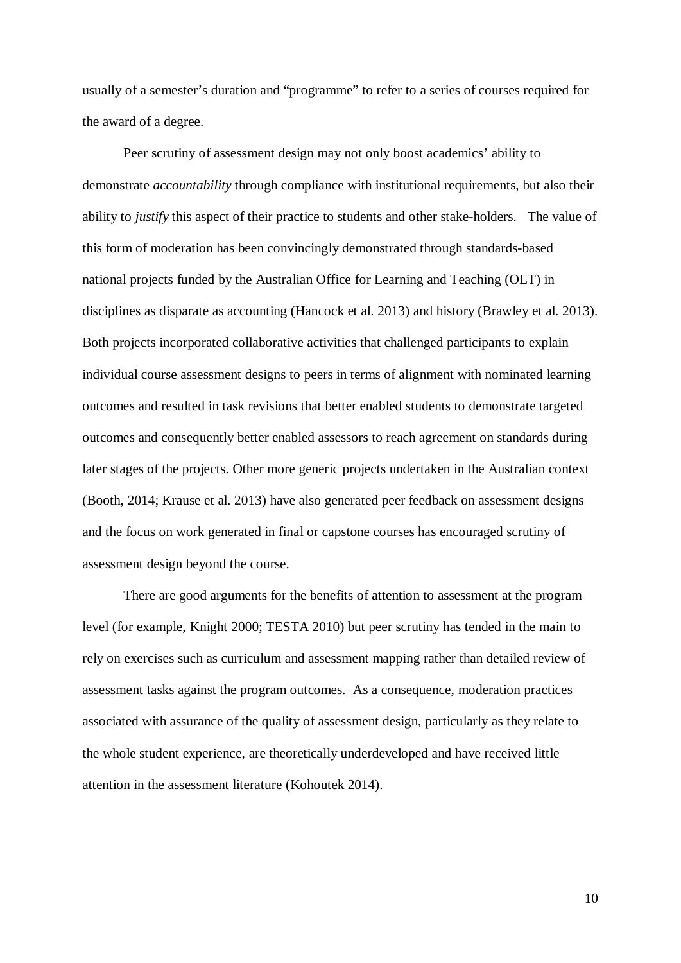usually of a semester's duration and "programme" to refer to a series of courses required for the award of a degree.

Peer scrutiny of assessment design may not only boost academics' ability to demonstrate *accountability* through compliance with institutional requirements, but also their ability to *justify* this aspect of their practice to students and other stake-holders. The value of this form of moderation has been convincingly demonstrated through standards-based national projects funded by the Australian Office for Learning and Teaching (OLT) in disciplines as disparate as accounting (Hancock et al. 2013) and history (Brawley et al. 2013). Both projects incorporated collaborative activities that challenged participants to explain individual course assessment designs to peers in terms of alignment with nominated learning outcomes and resulted in task revisions that better enabled students to demonstrate targeted outcomes and consequently better enabled assessors to reach agreement on standards during later stages of the projects. Other more generic projects undertaken in the Australian context (Booth, 2014; Krause et al. 2013) have also generated peer feedback on assessment designs and the focus on work generated in final or capstone courses has encouraged scrutiny of assessment design beyond the course.

There are good arguments for the benefits of attention to assessment at the program level (for example, Knight 2000; TESTA 2010) but peer scrutiny has tended in the main to rely on exercises such as curriculum and assessment mapping rather than detailed review of assessment tasks against the program outcomes. As a consequence, moderation practices associated with assurance of the quality of assessment design, particularly as they relate to the whole student experience, are theoretically underdeveloped and have received little attention in the assessment literature (Kohoutek 2014).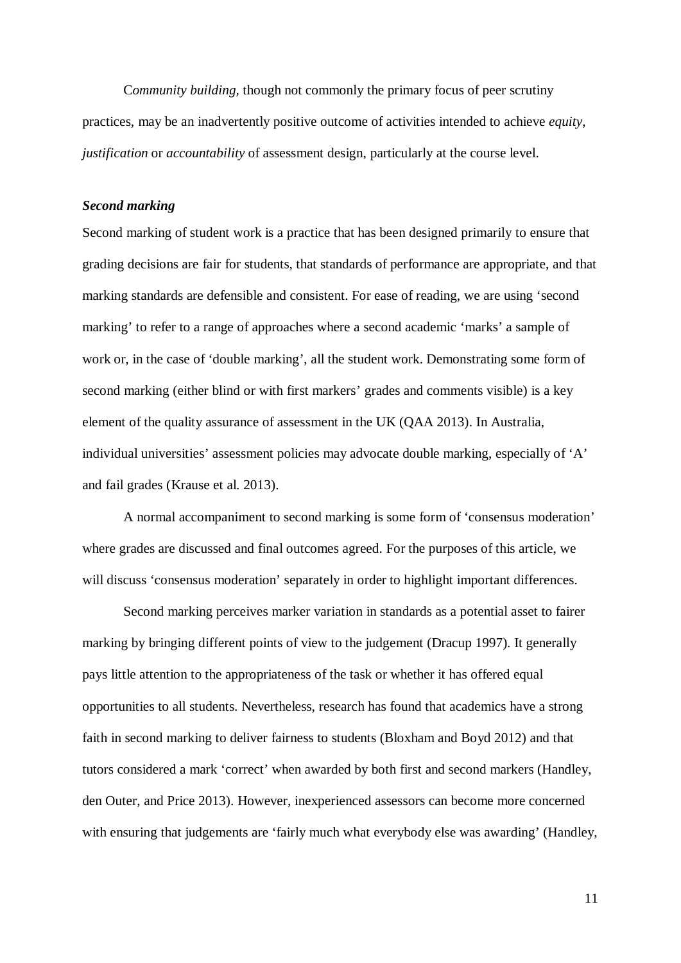C*ommunity building,* though not commonly the primary focus of peer scrutiny practices, may be an inadvertently positive outcome of activities intended to achieve *equity*, *justification* or *accountability* of assessment design, particularly at the course level.

## *Second marking*

Second marking of student work is a practice that has been designed primarily to ensure that grading decisions are fair for students, that standards of performance are appropriate, and that marking standards are defensible and consistent. For ease of reading, we are using 'second marking' to refer to a range of approaches where a second academic 'marks' a sample of work or, in the case of 'double marking', all the student work. Demonstrating some form of second marking (either blind or with first markers' grades and comments visible) is a key element of the quality assurance of assessment in the UK (QAA 2013). In Australia, individual universities' assessment policies may advocate double marking, especially of 'A' and fail grades (Krause et al. 2013).

A normal accompaniment to second marking is some form of 'consensus moderation' where grades are discussed and final outcomes agreed. For the purposes of this article, we will discuss 'consensus moderation' separately in order to highlight important differences.

Second marking perceives marker variation in standards as a potential asset to fairer marking by bringing different points of view to the judgement (Dracup 1997). It generally pays little attention to the appropriateness of the task or whether it has offered equal opportunities to all students. Nevertheless, research has found that academics have a strong faith in second marking to deliver fairness to students (Bloxham and Boyd 2012) and that tutors considered a mark 'correct' when awarded by both first and second markers (Handley, den Outer, and Price 2013). However, inexperienced assessors can become more concerned with ensuring that judgements are 'fairly much what everybody else was awarding' (Handley,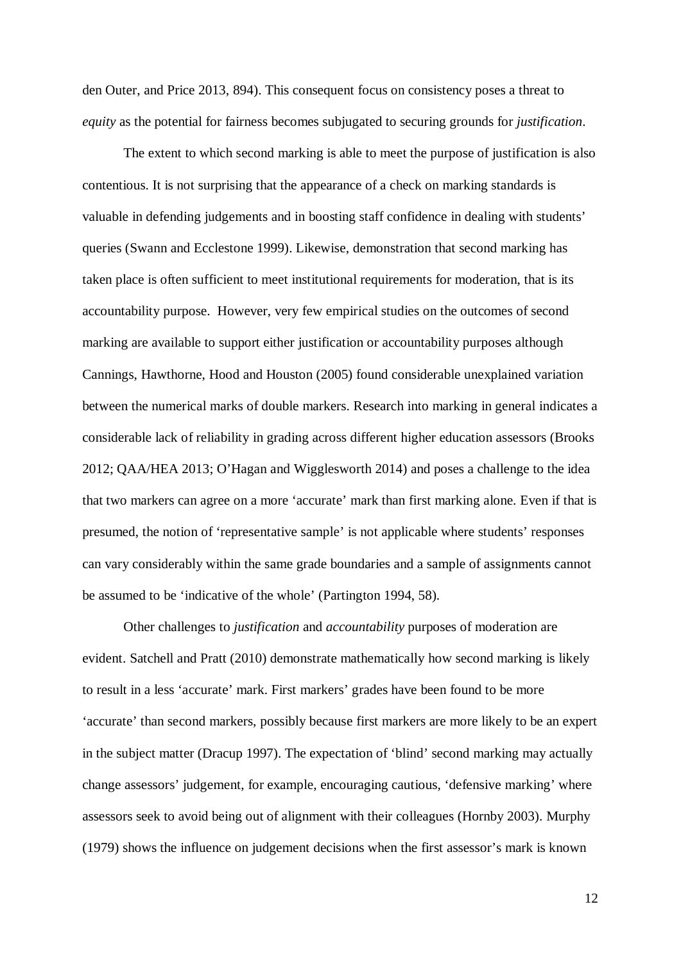den Outer, and Price 2013, 894). This consequent focus on consistency poses a threat to *equity* as the potential for fairness becomes subjugated to securing grounds for *justification*.

The extent to which second marking is able to meet the purpose of justification is also contentious. It is not surprising that the appearance of a check on marking standards is valuable in defending judgements and in boosting staff confidence in dealing with students' queries (Swann and Ecclestone 1999). Likewise, demonstration that second marking has taken place is often sufficient to meet institutional requirements for moderation, that is its accountability purpose. However, very few empirical studies on the outcomes of second marking are available to support either justification or accountability purposes although Cannings, Hawthorne, Hood and Houston (2005) found considerable unexplained variation between the numerical marks of double markers. Research into marking in general indicates a considerable lack of reliability in grading across different higher education assessors (Brooks 2012; QAA/HEA 2013; O'Hagan and Wigglesworth 2014) and poses a challenge to the idea that two markers can agree on a more 'accurate' mark than first marking alone. Even if that is presumed, the notion of 'representative sample' is not applicable where students' responses can vary considerably within the same grade boundaries and a sample of assignments cannot be assumed to be 'indicative of the whole' (Partington 1994, 58).

Other challenges to *justification* and *accountability* purposes of moderation are evident. Satchell and Pratt (2010) demonstrate mathematically how second marking is likely to result in a less 'accurate' mark. First markers' grades have been found to be more 'accurate' than second markers, possibly because first markers are more likely to be an expert in the subject matter (Dracup 1997). The expectation of 'blind' second marking may actually change assessors' judgement, for example, encouraging cautious, 'defensive marking' where assessors seek to avoid being out of alignment with their colleagues (Hornby 2003). Murphy (1979) shows the influence on judgement decisions when the first assessor's mark is known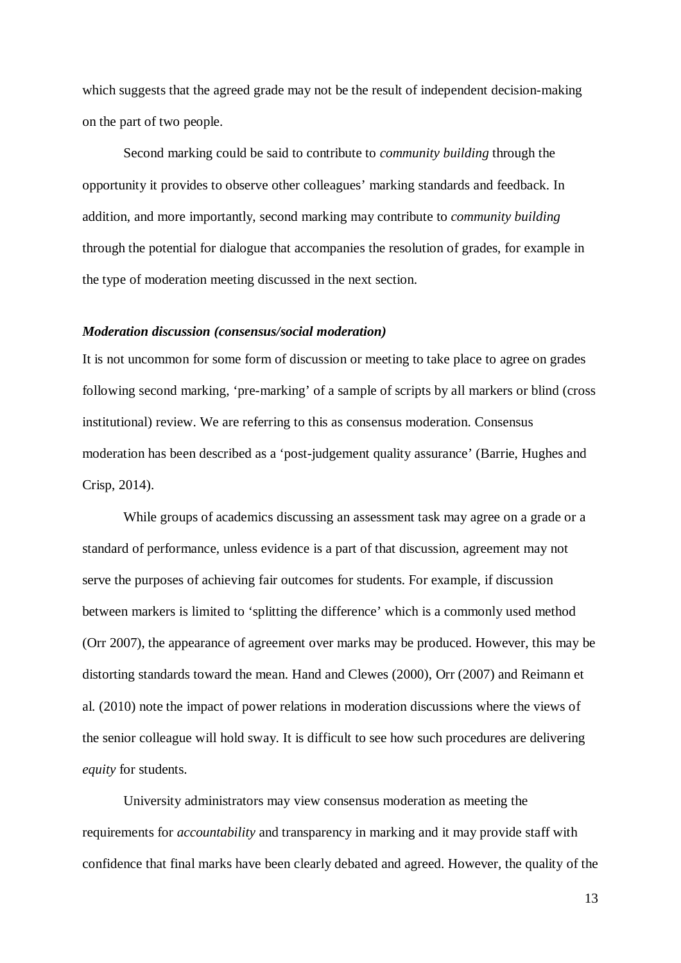which suggests that the agreed grade may not be the result of independent decision-making on the part of two people.

Second marking could be said to contribute to *community building* through the opportunity it provides to observe other colleagues' marking standards and feedback. In addition, and more importantly, second marking may contribute to *community building* through the potential for dialogue that accompanies the resolution of grades, for example in the type of moderation meeting discussed in the next section.

## *Moderation discussion (consensus/social moderation)*

It is not uncommon for some form of discussion or meeting to take place to agree on grades following second marking, 'pre-marking' of a sample of scripts by all markers or blind (cross institutional) review. We are referring to this as consensus moderation. Consensus moderation has been described as a 'post-judgement quality assurance' (Barrie, Hughes and Crisp, 2014).

While groups of academics discussing an assessment task may agree on a grade or a standard of performance, unless evidence is a part of that discussion, agreement may not serve the purposes of achieving fair outcomes for students. For example, if discussion between markers is limited to 'splitting the difference' which is a commonly used method (Orr 2007), the appearance of agreement over marks may be produced. However, this may be distorting standards toward the mean. Hand and Clewes (2000), Orr (2007) and Reimann et al. (2010) note the impact of power relations in moderation discussions where the views of the senior colleague will hold sway. It is difficult to see how such procedures are delivering *equity* for students.

University administrators may view consensus moderation as meeting the requirements for *accountability* and transparency in marking and it may provide staff with confidence that final marks have been clearly debated and agreed. However, the quality of the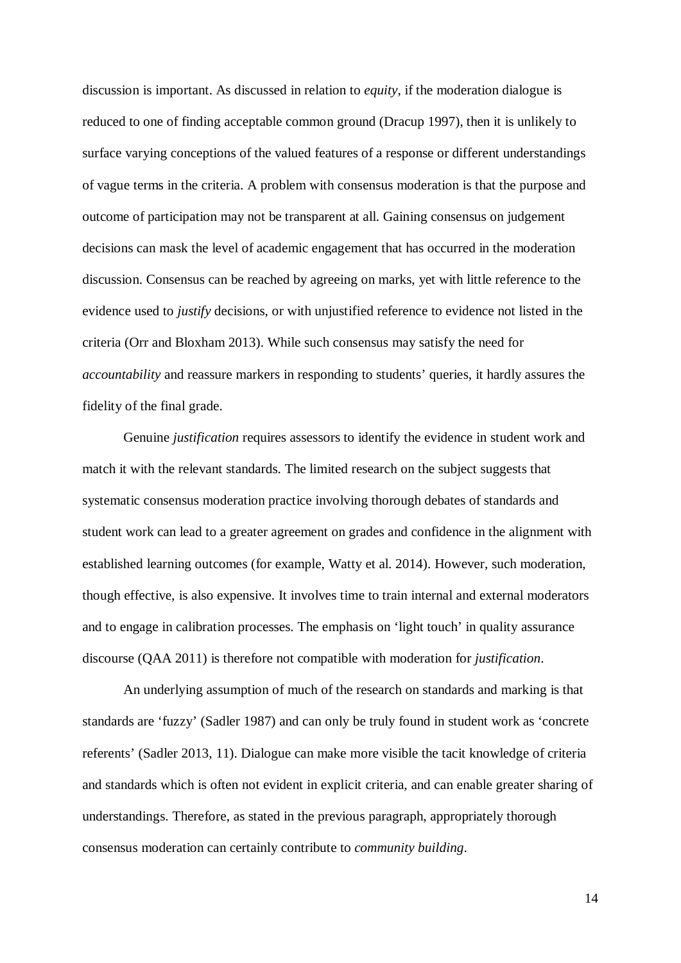discussion is important. As discussed in relation to *equity*, if the moderation dialogue is reduced to one of finding acceptable common ground (Dracup 1997), then it is unlikely to surface varying conceptions of the valued features of a response or different understandings of vague terms in the criteria. A problem with consensus moderation is that the purpose and outcome of participation may not be transparent at all. Gaining consensus on judgement decisions can mask the level of academic engagement that has occurred in the moderation discussion. Consensus can be reached by agreeing on marks, yet with little reference to the evidence used to *justify* decisions, or with unjustified reference to evidence not listed in the criteria (Orr and Bloxham 2013). While such consensus may satisfy the need for *accountability* and reassure markers in responding to students' queries, it hardly assures the fidelity of the final grade.

Genuine *justification* requires assessors to identify the evidence in student work and match it with the relevant standards. The limited research on the subject suggests that systematic consensus moderation practice involving thorough debates of standards and student work can lead to a greater agreement on grades and confidence in the alignment with established learning outcomes (for example, Watty et al. 2014). However, such moderation, though effective, is also expensive. It involves time to train internal and external moderators and to engage in calibration processes. The emphasis on 'light touch' in quality assurance discourse (QAA 2011) is therefore not compatible with moderation for *justification*.

An underlying assumption of much of the research on standards and marking is that standards are 'fuzzy' (Sadler 1987) and can only be truly found in student work as 'concrete referents' (Sadler 2013, 11). Dialogue can make more visible the tacit knowledge of criteria and standards which is often not evident in explicit criteria, and can enable greater sharing of understandings. Therefore, as stated in the previous paragraph, appropriately thorough consensus moderation can certainly contribute to *community building*.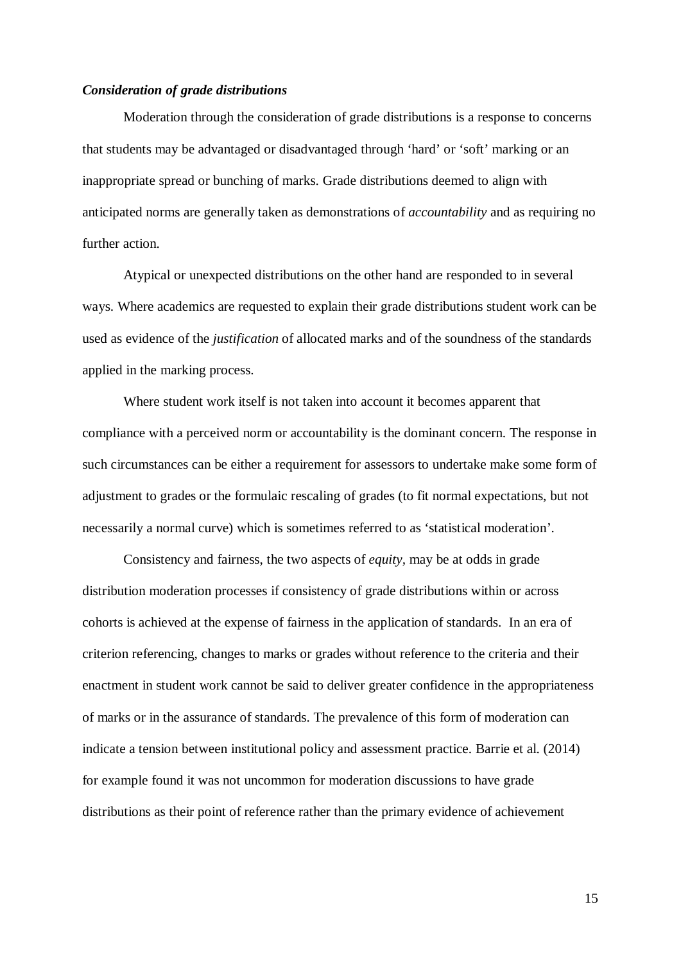### *Consideration of grade distributions*

Moderation through the consideration of grade distributions is a response to concerns that students may be advantaged or disadvantaged through 'hard' or 'soft' marking or an inappropriate spread or bunching of marks. Grade distributions deemed to align with anticipated norms are generally taken as demonstrations of *accountability* and as requiring no further action.

Atypical or unexpected distributions on the other hand are responded to in several ways. Where academics are requested to explain their grade distributions student work can be used as evidence of the *justification* of allocated marks and of the soundness of the standards applied in the marking process.

Where student work itself is not taken into account it becomes apparent that compliance with a perceived norm or accountability is the dominant concern. The response in such circumstances can be either a requirement for assessors to undertake make some form of adjustment to grades or the formulaic rescaling of grades (to fit normal expectations, but not necessarily a normal curve) which is sometimes referred to as 'statistical moderation'.

Consistency and fairness, the two aspects of *equity,* may be at odds in grade distribution moderation processes if consistency of grade distributions within or across cohorts is achieved at the expense of fairness in the application of standards. In an era of criterion referencing, changes to marks or grades without reference to the criteria and their enactment in student work cannot be said to deliver greater confidence in the appropriateness of marks or in the assurance of standards. The prevalence of this form of moderation can indicate a tension between institutional policy and assessment practice. Barrie et al. (2014) for example found it was not uncommon for moderation discussions to have grade distributions as their point of reference rather than the primary evidence of achievement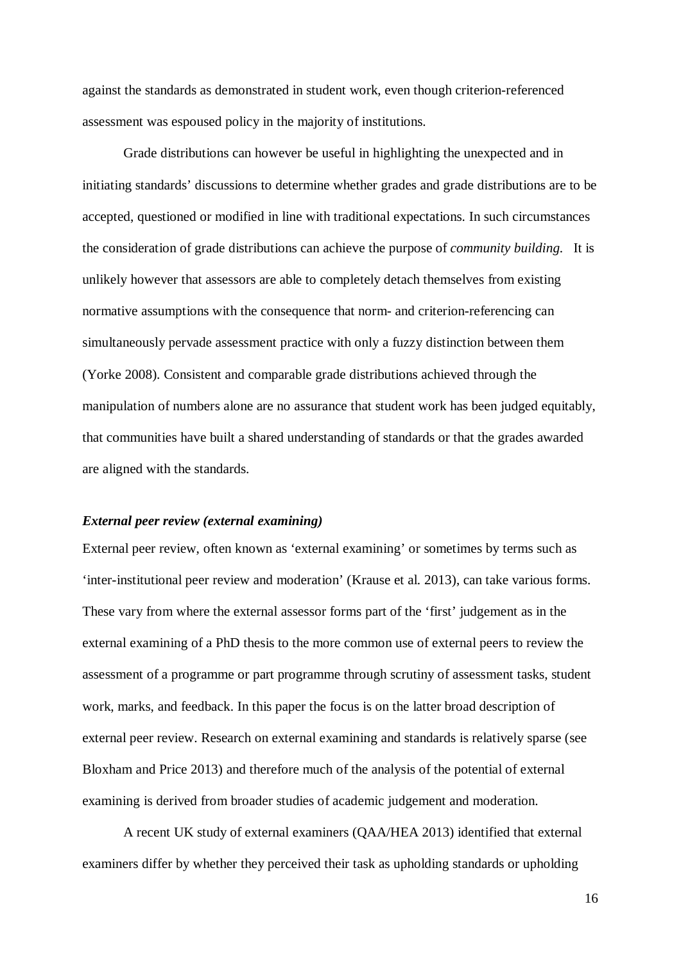against the standards as demonstrated in student work, even though criterion-referenced assessment was espoused policy in the majority of institutions.

Grade distributions can however be useful in highlighting the unexpected and in initiating standards' discussions to determine whether grades and grade distributions are to be accepted, questioned or modified in line with traditional expectations. In such circumstances the consideration of grade distributions can achieve the purpose of *community building.* It is unlikely however that assessors are able to completely detach themselves from existing normative assumptions with the consequence that norm- and criterion-referencing can simultaneously pervade assessment practice with only a fuzzy distinction between them (Yorke 2008). Consistent and comparable grade distributions achieved through the manipulation of numbers alone are no assurance that student work has been judged equitably, that communities have built a shared understanding of standards or that the grades awarded are aligned with the standards.

## *External peer review (external examining)*

External peer review, often known as 'external examining' or sometimes by terms such as 'inter-institutional peer review and moderation' (Krause et al. 2013), can take various forms. These vary from where the external assessor forms part of the 'first' judgement as in the external examining of a PhD thesis to the more common use of external peers to review the assessment of a programme or part programme through scrutiny of assessment tasks, student work, marks, and feedback. In this paper the focus is on the latter broad description of external peer review. Research on external examining and standards is relatively sparse (see Bloxham and Price 2013) and therefore much of the analysis of the potential of external examining is derived from broader studies of academic judgement and moderation.

A recent UK study of external examiners (QAA/HEA 2013) identified that external examiners differ by whether they perceived their task as upholding standards or upholding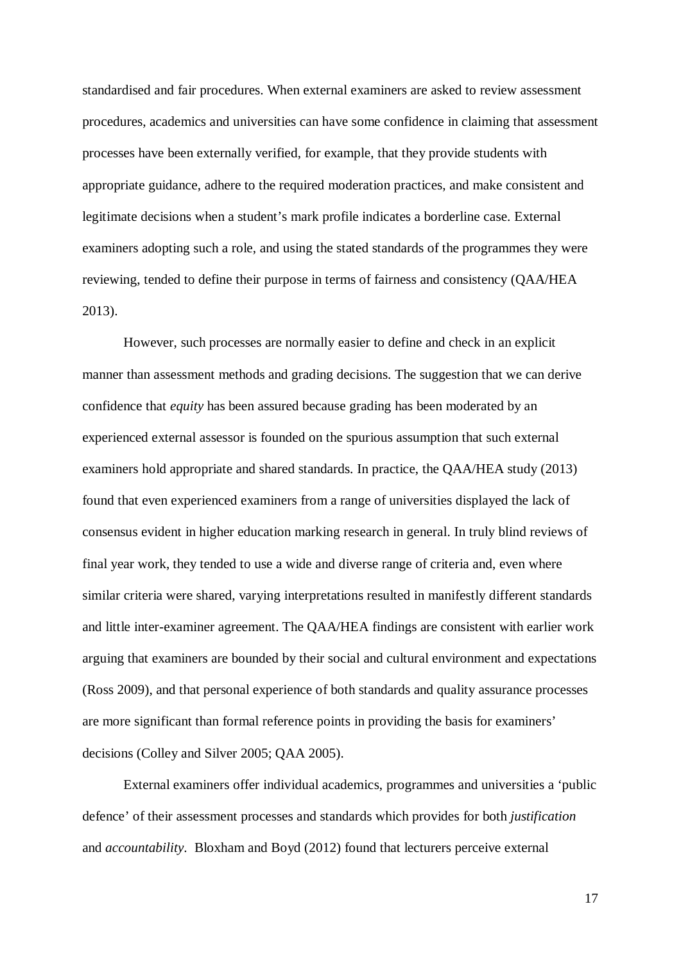standardised and fair procedures. When external examiners are asked to review assessment procedures, academics and universities can have some confidence in claiming that assessment processes have been externally verified, for example, that they provide students with appropriate guidance, adhere to the required moderation practices, and make consistent and legitimate decisions when a student's mark profile indicates a borderline case. External examiners adopting such a role, and using the stated standards of the programmes they were reviewing, tended to define their purpose in terms of fairness and consistency (QAA/HEA 2013).

However, such processes are normally easier to define and check in an explicit manner than assessment methods and grading decisions. The suggestion that we can derive confidence that *equity* has been assured because grading has been moderated by an experienced external assessor is founded on the spurious assumption that such external examiners hold appropriate and shared standards. In practice, the QAA/HEA study (2013) found that even experienced examiners from a range of universities displayed the lack of consensus evident in higher education marking research in general. In truly blind reviews of final year work, they tended to use a wide and diverse range of criteria and, even where similar criteria were shared, varying interpretations resulted in manifestly different standards and little inter-examiner agreement. The QAA/HEA findings are consistent with earlier work arguing that examiners are bounded by their social and cultural environment and expectations (Ross 2009), and that personal experience of both standards and quality assurance processes are more significant than formal reference points in providing the basis for examiners' decisions (Colley and Silver 2005; QAA 2005).

External examiners offer individual academics, programmes and universities a 'public defence' of their assessment processes and standards which provides for both *justification* and *accountability*. Bloxham and Boyd (2012) found that lecturers perceive external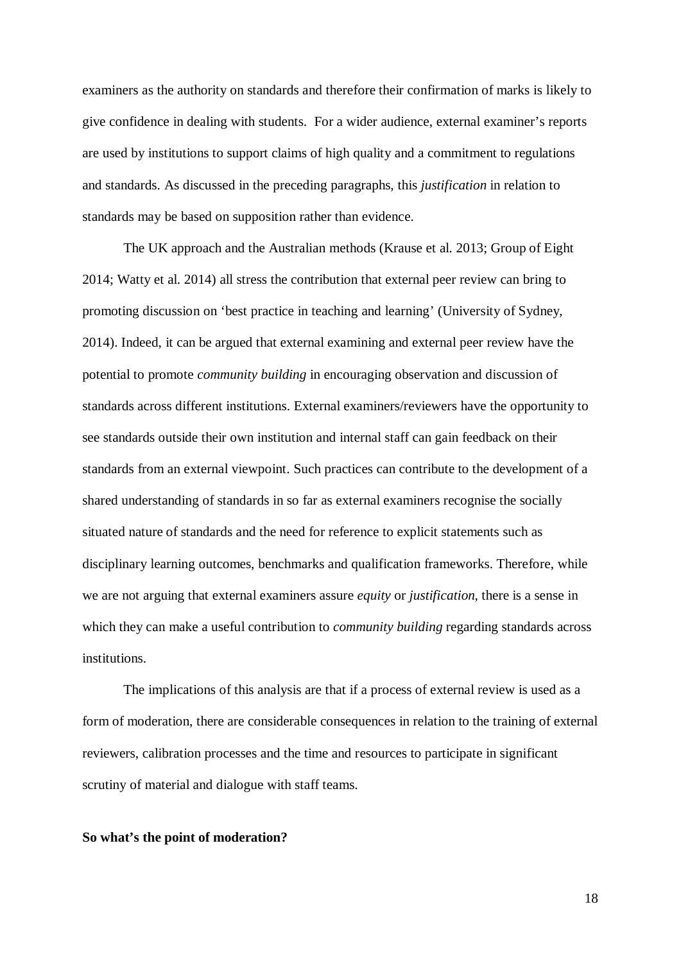examiners as the authority on standards and therefore their confirmation of marks is likely to give confidence in dealing with students. For a wider audience, external examiner's reports are used by institutions to support claims of high quality and a commitment to regulations and standards. As discussed in the preceding paragraphs, this *justification* in relation to standards may be based on supposition rather than evidence.

The UK approach and the Australian methods (Krause et al. 2013; Group of Eight 2014; Watty et al. 2014) all stress the contribution that external peer review can bring to promoting discussion on 'best practice in teaching and learning' (University of Sydney, 2014). Indeed, it can be argued that external examining and external peer review have the potential to promote *community building* in encouraging observation and discussion of standards across different institutions. External examiners/reviewers have the opportunity to see standards outside their own institution and internal staff can gain feedback on their standards from an external viewpoint. Such practices can contribute to the development of a shared understanding of standards in so far as external examiners recognise the socially situated nature of standards and the need for reference to explicit statements such as disciplinary learning outcomes, benchmarks and qualification frameworks. Therefore, while we are not arguing that external examiners assure *equity* or *justification*, there is a sense in which they can make a useful contribution to *community building* regarding standards across institutions.

The implications of this analysis are that if a process of external review is used as a form of moderation, there are considerable consequences in relation to the training of external reviewers, calibration processes and the time and resources to participate in significant scrutiny of material and dialogue with staff teams.

## **So what's the point of moderation?**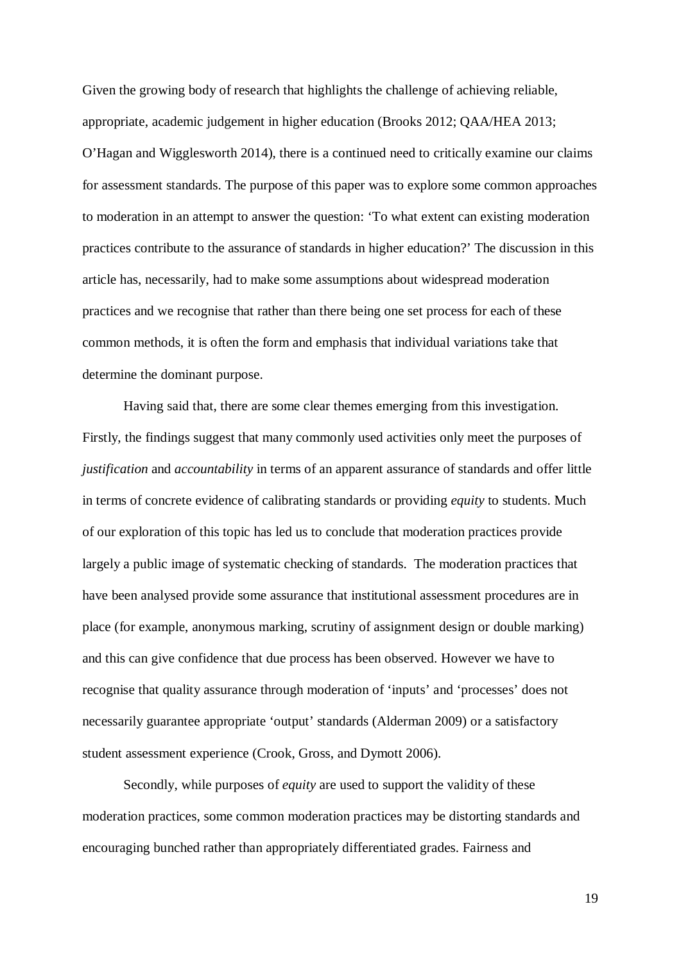Given the growing body of research that highlights the challenge of achieving reliable, appropriate, academic judgement in higher education (Brooks 2012; QAA/HEA 2013; O'Hagan and Wigglesworth 2014), there is a continued need to critically examine our claims for assessment standards. The purpose of this paper was to explore some common approaches to moderation in an attempt to answer the question: 'To what extent can existing moderation practices contribute to the assurance of standards in higher education?' The discussion in this article has, necessarily, had to make some assumptions about widespread moderation practices and we recognise that rather than there being one set process for each of these common methods, it is often the form and emphasis that individual variations take that determine the dominant purpose.

Having said that, there are some clear themes emerging from this investigation. Firstly, the findings suggest that many commonly used activities only meet the purposes of *justification* and *accountability* in terms of an apparent assurance of standards and offer little in terms of concrete evidence of calibrating standards or providing *equity* to students. Much of our exploration of this topic has led us to conclude that moderation practices provide largely a public image of systematic checking of standards. The moderation practices that have been analysed provide some assurance that institutional assessment procedures are in place (for example, anonymous marking, scrutiny of assignment design or double marking) and this can give confidence that due process has been observed. However we have to recognise that quality assurance through moderation of 'inputs' and 'processes' does not necessarily guarantee appropriate 'output' standards (Alderman 2009) or a satisfactory student assessment experience (Crook, Gross, and Dymott 2006).

Secondly, while purposes of *equity* are used to support the validity of these moderation practices, some common moderation practices may be distorting standards and encouraging bunched rather than appropriately differentiated grades. Fairness and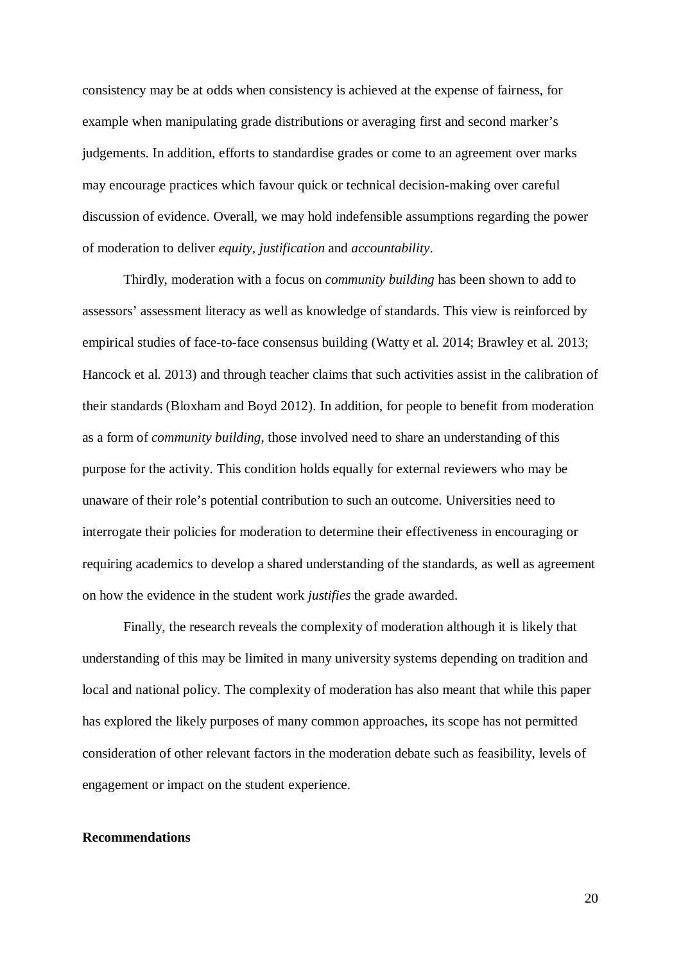consistency may be at odds when consistency is achieved at the expense of fairness, for example when manipulating grade distributions or averaging first and second marker's judgements. In addition, efforts to standardise grades or come to an agreement over marks may encourage practices which favour quick or technical decision-making over careful discussion of evidence. Overall, we may hold indefensible assumptions regarding the power of moderation to deliver *equity*, *justification* and *accountability*.

Thirdly, moderation with a focus on *community building* has been shown to add to assessors' assessment literacy as well as knowledge of standards. This view is reinforced by empirical studies of face-to-face consensus building (Watty et al. 2014; Brawley et al. 2013; Hancock et al. 2013) and through teacher claims that such activities assist in the calibration of their standards (Bloxham and Boyd 2012). In addition, for people to benefit from moderation as a form of *community building*, those involved need to share an understanding of this purpose for the activity. This condition holds equally for external reviewers who may be unaware of their role's potential contribution to such an outcome. Universities need to interrogate their policies for moderation to determine their effectiveness in encouraging or requiring academics to develop a shared understanding of the standards, as well as agreement on how the evidence in the student work *justifies* the grade awarded.

Finally, the research reveals the complexity of moderation although it is likely that understanding of this may be limited in many university systems depending on tradition and local and national policy. The complexity of moderation has also meant that while this paper has explored the likely purposes of many common approaches, its scope has not permitted consideration of other relevant factors in the moderation debate such as feasibility, levels of engagement or impact on the student experience.

#### **Recommendations**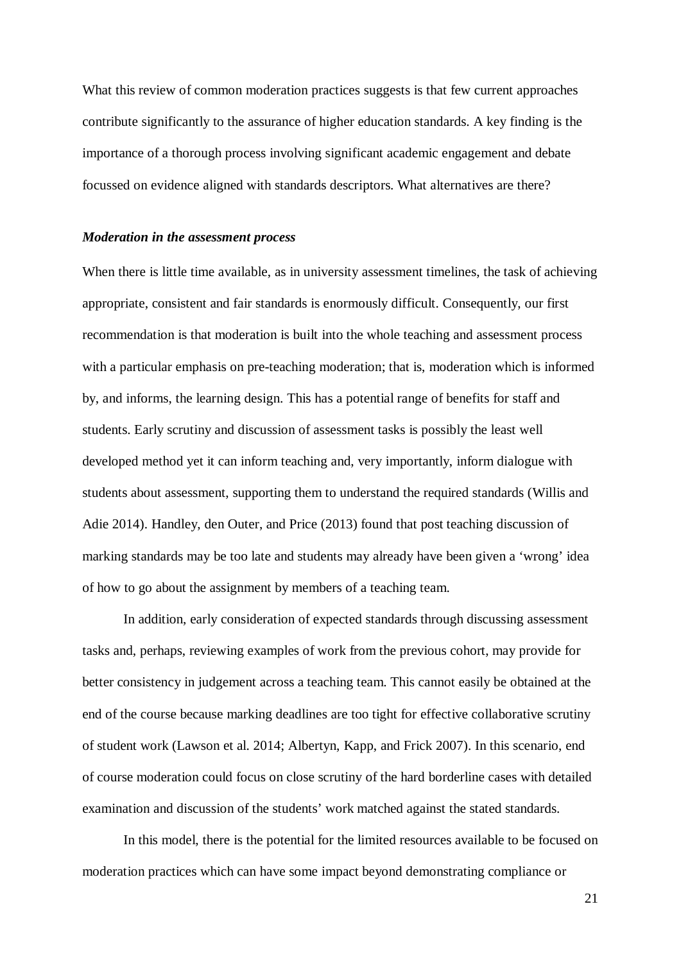What this review of common moderation practices suggests is that few current approaches contribute significantly to the assurance of higher education standards. A key finding is the importance of a thorough process involving significant academic engagement and debate focussed on evidence aligned with standards descriptors. What alternatives are there?

## *Moderation in the assessment process*

When there is little time available, as in university assessment timelines, the task of achieving appropriate, consistent and fair standards is enormously difficult. Consequently, our first recommendation is that moderation is built into the whole teaching and assessment process with a particular emphasis on pre-teaching moderation; that is, moderation which is informed by, and informs, the learning design. This has a potential range of benefits for staff and students. Early scrutiny and discussion of assessment tasks is possibly the least well developed method yet it can inform teaching and, very importantly, inform dialogue with students about assessment, supporting them to understand the required standards (Willis and Adie 2014). Handley, den Outer, and Price (2013) found that post teaching discussion of marking standards may be too late and students may already have been given a 'wrong' idea of how to go about the assignment by members of a teaching team.

In addition, early consideration of expected standards through discussing assessment tasks and, perhaps, reviewing examples of work from the previous cohort, may provide for better consistency in judgement across a teaching team. This cannot easily be obtained at the end of the course because marking deadlines are too tight for effective collaborative scrutiny of student work (Lawson et al. 2014; Albertyn, Kapp, and Frick 2007). In this scenario, end of course moderation could focus on close scrutiny of the hard borderline cases with detailed examination and discussion of the students' work matched against the stated standards.

In this model, there is the potential for the limited resources available to be focused on moderation practices which can have some impact beyond demonstrating compliance or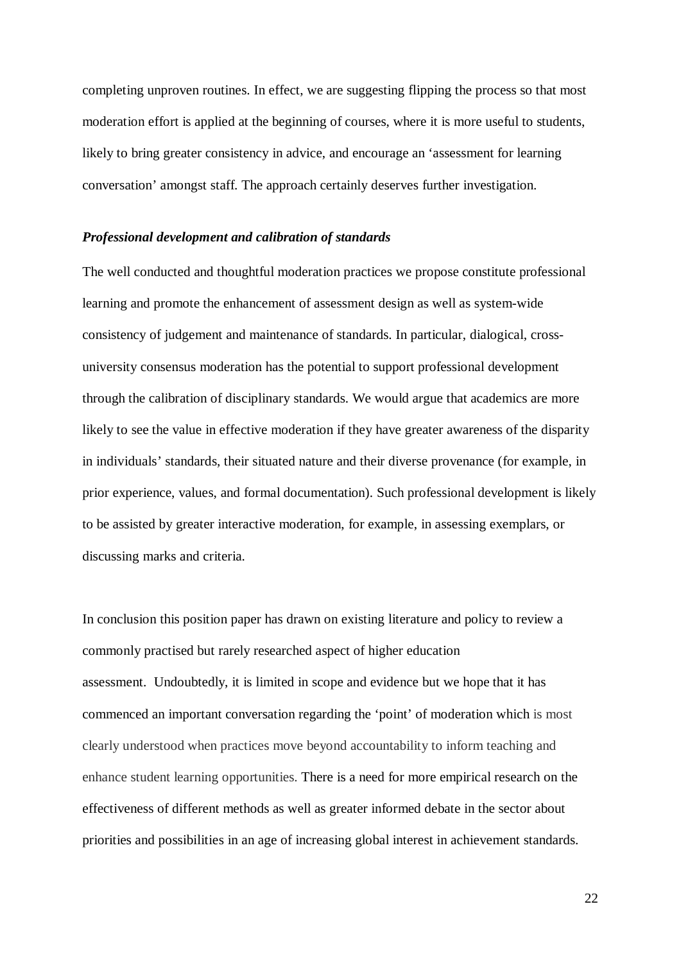completing unproven routines. In effect, we are suggesting flipping the process so that most moderation effort is applied at the beginning of courses, where it is more useful to students, likely to bring greater consistency in advice, and encourage an 'assessment for learning conversation' amongst staff. The approach certainly deserves further investigation.

## *Professional development and calibration of standards*

The well conducted and thoughtful moderation practices we propose constitute professional learning and promote the enhancement of assessment design as well as system-wide consistency of judgement and maintenance of standards. In particular, dialogical, crossuniversity consensus moderation has the potential to support professional development through the calibration of disciplinary standards. We would argue that academics are more likely to see the value in effective moderation if they have greater awareness of the disparity in individuals' standards, their situated nature and their diverse provenance (for example, in prior experience, values, and formal documentation). Such professional development is likely to be assisted by greater interactive moderation, for example, in assessing exemplars, or discussing marks and criteria.

In conclusion this position paper has drawn on existing literature and policy to review a commonly practised but rarely researched aspect of higher education assessment. Undoubtedly, it is limited in scope and evidence but we hope that it has commenced an important conversation regarding the 'point' of moderation which is most clearly understood when practices move beyond accountability to inform teaching and enhance student learning opportunities. There is a need for more empirical research on the effectiveness of different methods as well as greater informed debate in the sector about priorities and possibilities in an age of increasing global interest in achievement standards.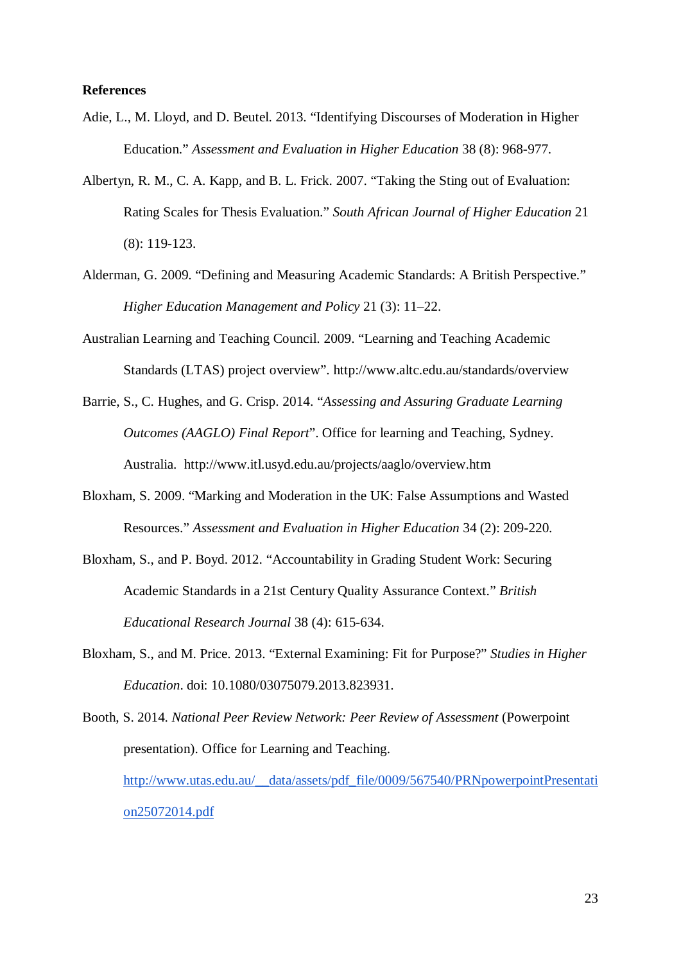## **References**

- Adie, L., M. Lloyd, and D. Beutel. 2013. "Identifying Discourses of Moderation in Higher Education." *Assessment and Evaluation in Higher Education* 38 (8): 968-977.
- Albertyn, R. M., C. A. Kapp, and B. L. Frick. 2007. "Taking the Sting out of Evaluation: Rating Scales for Thesis Evaluation." *South African Journal of Higher Education* 21 (8): 119-123.
- Alderman, G. 2009. "Defining and Measuring Academic Standards: A British Perspective." *Higher Education Management and Policy* 21 (3): 11–22.
- Australian Learning and Teaching Council. 2009. "Learning and Teaching Academic Standards (LTAS) project overview". http://www.altc.edu.au/standards/overview
- Barrie, S., C. Hughes, and G. Crisp. 2014. "*Assessing and Assuring Graduate Learning Outcomes (AAGLO) Final Report*". Office for learning and Teaching, Sydney. Australia.<http://www.itl.usyd.edu.au/projects/aaglo/overview.htm>
- Bloxham, S. 2009. "Marking and Moderation in the UK: False Assumptions and Wasted Resources." *Assessment and Evaluation in Higher Education* 34 (2): 209-220.
- Bloxham, S., and P. Boyd. 2012. "Accountability in Grading Student Work: Securing Academic Standards in a 21st Century Quality Assurance Context." *British Educational Research Journal* 38 (4): 615-634.
- Bloxham, S., and M. Price. 2013. "External Examining: Fit for Purpose?" *Studies in Higher Education*. doi: 10.1080/03075079.2013.823931.

Booth, S. 2014. *National Peer Review Network: Peer Review of Assessment* (Powerpoint presentation). Office for Learning and Teaching. [http://www.utas.edu.au/\\_\\_data/assets/pdf\\_file/0009/567540/PRNpowerpointPresentati](http://www.utas.edu.au/__data/assets/pdf_file/0009/567540/PRNpowerpointPresentation25072014.pdf) [on25072014.pdf](http://www.utas.edu.au/__data/assets/pdf_file/0009/567540/PRNpowerpointPresentation25072014.pdf)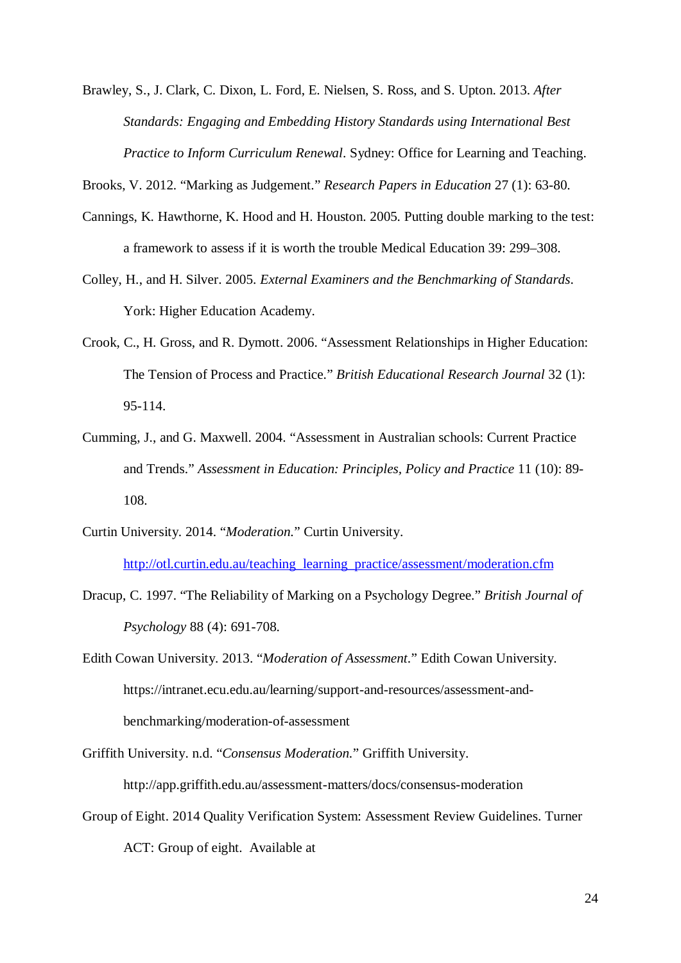Brawley, S., J. Clark, C. Dixon, L. Ford, E. Nielsen, S. Ross, and S. Upton. 2013. *After Standards: Engaging and Embedding History Standards using International Best Practice to Inform Curriculum Renewal*. Sydney: Office for Learning and Teaching.

Brooks, V. 2012. "Marking as Judgement." *Research Papers in Education* 27 (1): 63-80.

- Cannings, K. Hawthorne, K. Hood and H. Houston. 2005. Putting double marking to the test: a framework to assess if it is worth the trouble Medical Education 39: 299–308.
- Colley, H., and H. Silver. 2005. *External Examiners and the Benchmarking of Standards*. York: Higher Education Academy.
- Crook, C., H. Gross, and R. Dymott. 2006. "Assessment Relationships in Higher Education: The Tension of Process and Practice." *British Educational Research Journal* 32 (1): 95-114.
- Cumming, J., and G. Maxwell. 2004. "Assessment in Australian schools: Current Practice and Trends." *Assessment in Education: Principles, Policy and Practice* 11 (10): 89- 108.
- Curtin University. 2014. "*Moderation.*" Curtin University.

[http://otl.curtin.edu.au/teaching\\_learning\\_practice/assessment/moderation.cfm](http://otl.curtin.edu.au/teaching_learning_practice/assessment/moderation.cfm)

Dracup, C. 1997. "The Reliability of Marking on a Psychology Degree." *British Journal of Psychology* 88 (4): 691-708.

Edith Cowan University. 2013. "*Moderation of Assessment*." Edith Cowan University. https://intranet.ecu.edu.au/learning/support-and-resources/assessment-andbenchmarking/moderation-of-assessment

Griffith University. n.d. "*Consensus Moderation.*" Griffith University. <http://app.griffith.edu.au/assessment-matters/docs/consensus-moderation>

Group of Eight. 2014 Quality Verification System: Assessment Review Guidelines. Turner ACT: Group of eight. Available at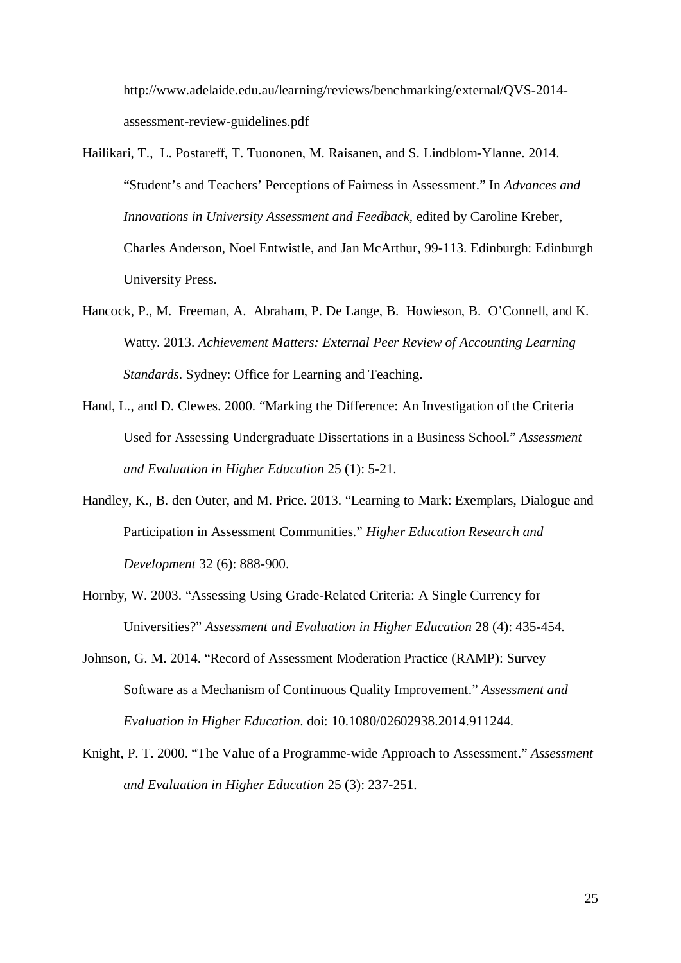http://www.adelaide.edu.au/learning/reviews/benchmarking/external/QVS-2014 assessment-review-guidelines.pdf

- Hailikari, T., L. Postareff, T. Tuononen, M. Raisanen, and S. Lindblom-Ylanne. 2014. "Student's and Teachers' Perceptions of Fairness in Assessment." In *Advances and Innovations in University Assessment and Feedback*, edited by Caroline Kreber, Charles Anderson, Noel Entwistle, and Jan McArthur, 99-113. Edinburgh: Edinburgh University Press.
- Hancock, P., M. Freeman, A. Abraham, P. De Lange, B. Howieson, B. O'Connell, and K. Watty. 2013. *Achievement Matters: External Peer Review of Accounting Learning Standards*. Sydney: Office for Learning and Teaching.
- Hand, L., and D. Clewes. 2000. "Marking the Difference: An Investigation of the Criteria Used for Assessing Undergraduate Dissertations in a Business School." *Assessment and Evaluation in Higher Education* 25 (1): 5-21.
- Handley, K., B. den Outer, and M. Price. 2013. "Learning to Mark: Exemplars, Dialogue and Participation in Assessment Communities." *Higher Education Research and Development* 32 (6): 888-900.
- Hornby, W. 2003. "Assessing Using Grade-Related Criteria: A Single Currency for Universities?" *Assessment and Evaluation in Higher Education* 28 (4): 435-454.
- Johnson, G. M. 2014. "Record of Assessment Moderation Practice (RAMP): Survey Software as a Mechanism of Continuous Quality Improvement." *Assessment and Evaluation in Higher Education*. doi: 10.1080/02602938.2014.911244.
- Knight, P. T. 2000. "The Value of a Programme-wide Approach to Assessment." *Assessment and Evaluation in Higher Education* 25 (3): 237-251.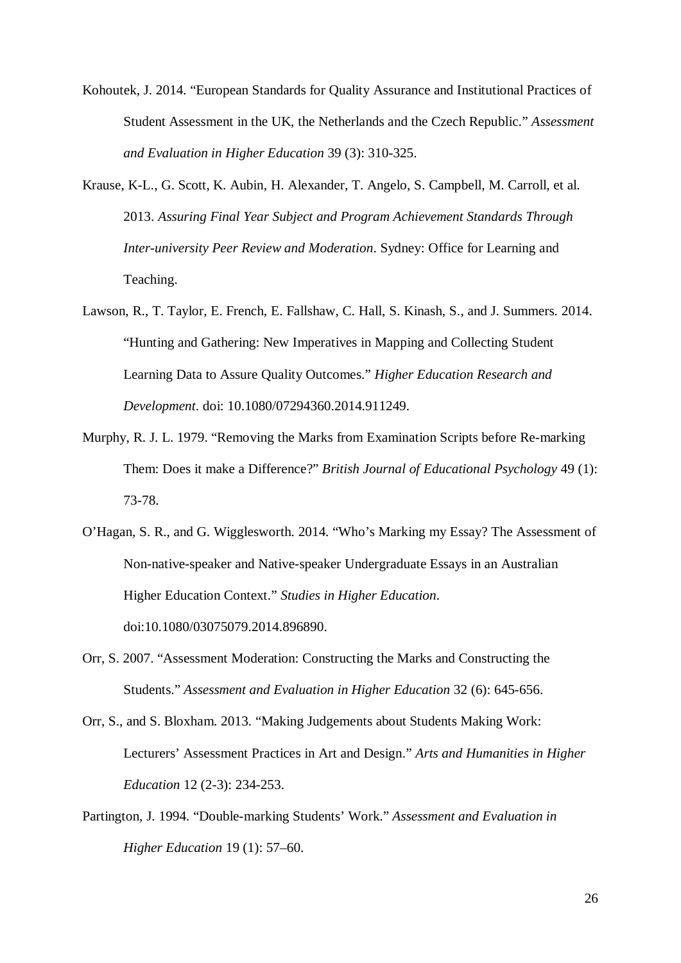- Kohoutek, J. 2014. "European Standards for Quality Assurance and Institutional Practices of Student Assessment in the UK, the Netherlands and the Czech Republic." *Assessment and Evaluation in Higher Education* 39 (3): 310-325.
- Krause, K-L., G. Scott, K. Aubin, H. Alexander, T. Angelo, S. Campbell, M. Carroll, et al. 2013. *Assuring Final Year Subject and Program Achievement Standards Through Inter-university Peer Review and Moderation*. Sydney: Office for Learning and Teaching.
- Lawson, R., T. Taylor, E. French, E. Fallshaw, C. Hall, S. Kinash, S., and J. Summers. 2014. "Hunting and Gathering: New Imperatives in Mapping and Collecting Student Learning Data to Assure Quality Outcomes." *Higher Education Research and Development*. doi: 10.1080/07294360.2014.911249.
- Murphy, R. J. L. 1979. "Removing the Marks from Examination Scripts before Re-marking Them: Does it make a Difference?" *British Journal of Educational Psychology* 49 (1): 73-78.
- O'Hagan, S. R., and G. Wigglesworth. 2014. "Who's Marking my Essay? The Assessment of Non-native-speaker and Native-speaker Undergraduate Essays in an Australian Higher Education Context." *Studies in Higher Education*. doi:10.1080/03075079.2014.896890.
- Orr, S. 2007. "Assessment Moderation: Constructing the Marks and Constructing the Students." *Assessment and Evaluation in Higher Education* 32 (6): 645-656.
- Orr, S., and S. Bloxham. 2013. "Making Judgements about Students Making Work: Lecturers' Assessment Practices in Art and Design." *Arts and Humanities in Higher Education* 12 (2-3): 234-253.
- Partington, J. 1994. "Double-marking Students' Work." *Assessment and Evaluation in Higher Education* 19 (1): 57–60.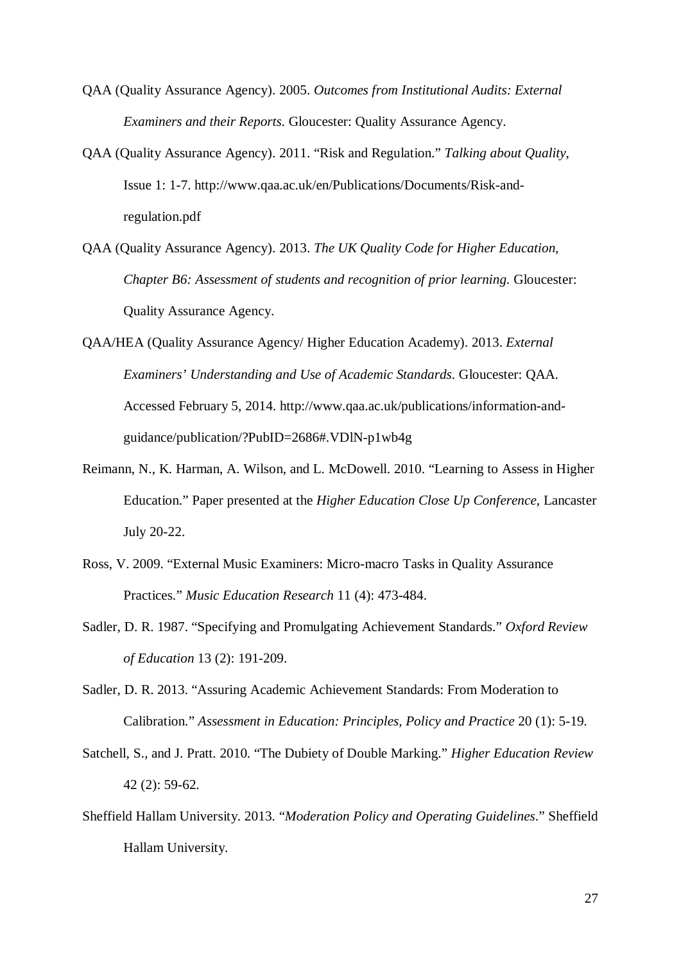- QAA (Quality Assurance Agency). 2005. *Outcomes from Institutional Audits: External Examiners and their Reports*. Gloucester: Quality Assurance Agency.
- QAA (Quality Assurance Agency). 2011. "Risk and Regulation." *Talking about Quality*, Issue 1: 1-7. [http://www.qaa.ac.uk/en/Publications/Documents/Risk-and](http://www.qaa.ac.uk/en/Publications/Documents/Risk-and-regulation.pdf)[regulation.pdf](http://www.qaa.ac.uk/en/Publications/Documents/Risk-and-regulation.pdf)
- QAA (Quality Assurance Agency). 2013. *The UK Quality Code for Higher Education, Chapter B6: Assessment of students and recognition of prior learning. Gloucester:* Quality Assurance Agency.
- QAA/HEA (Quality Assurance Agency/ Higher Education Academy). 2013. *External Examiners' Understanding and Use of Academic Standards*. Gloucester: QAA. Accessed February 5, 2014. [http://www.qaa.ac.uk/publications/information-and](http://www.qaa.ac.uk/publications/information-and-guidance/publication/?PubID=2686#.VDlN-p1wb4g)[guidance/publication/?PubID=2686#.VDlN-p1wb4g](http://www.qaa.ac.uk/publications/information-and-guidance/publication/?PubID=2686#.VDlN-p1wb4g)
- Reimann, N., K. Harman, A. Wilson, and L. McDowell. 2010. "Learning to Assess in Higher Education." Paper presented at the *Higher Education Close Up Conference*, Lancaster July 20-22.
- Ross, V. 2009. "External Music Examiners: Micro-macro Tasks in Quality Assurance Practices." *Music Education Research* 11 (4): 473-484.
- Sadler, D. R. 1987. "Specifying and Promulgating Achievement Standards." *Oxford Review of Education* 13 (2): 191-209.
- Sadler, D. R. 2013. "Assuring Academic Achievement Standards: From Moderation to Calibration." *Assessment in Education: Principles, Policy and Practice* 20 (1): 5-19.
- Satchell, S., and J. Pratt. 2010. "The Dubiety of Double Marking." *Higher Education Review* 42 (2): 59-62.
- Sheffield Hallam University. 2013. "*Moderation Policy and Operating Guidelines*." Sheffield Hallam University.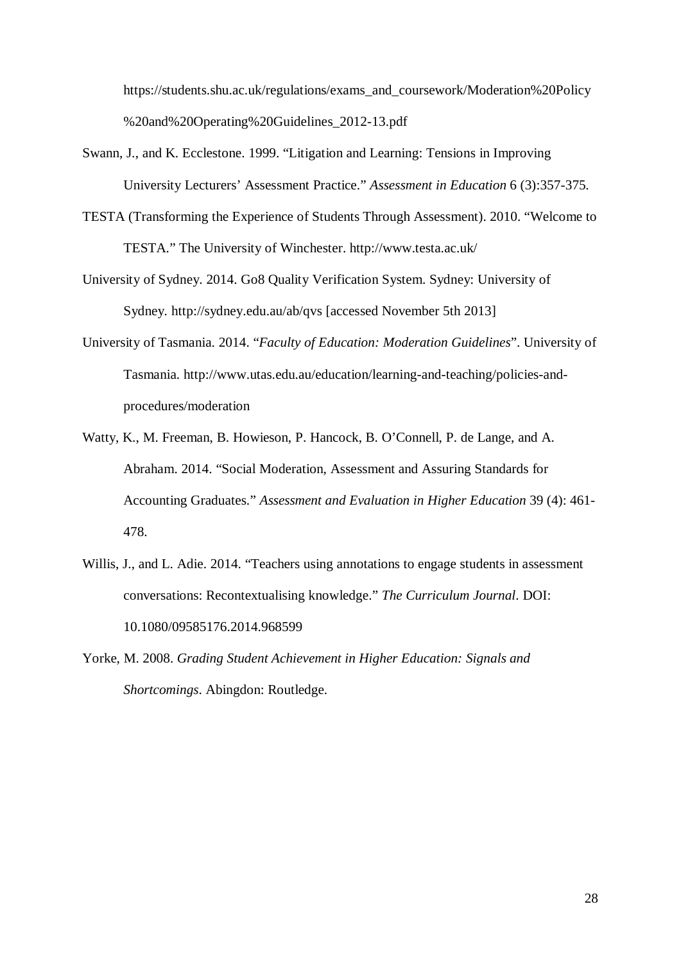[https://students.shu.ac.uk/regulations/exams\\_and\\_coursework/Moderation%20Policy](https://students.shu.ac.uk/regulations/exams_and_coursework/Moderation%20Policy%20and%20Operating%20Guidelines_2012-13.pdf) [%20and%20Operating%20Guidelines\\_2012-13.pdf](https://students.shu.ac.uk/regulations/exams_and_coursework/Moderation%20Policy%20and%20Operating%20Guidelines_2012-13.pdf)

- Swann, J., and K. Ecclestone. 1999. "Litigation and Learning: Tensions in Improving University Lecturers' Assessment Practice." *Assessment in Education* 6 (3):357-375.
- TESTA (Transforming the Experience of Students Through Assessment). 2010. "Welcome to TESTA." The University of Winchester.<http://www.testa.ac.uk/>
- University of Sydney. 2014. Go8 Quality Verification System. Sydney: University of Sydney. <http://sydney.edu.au/ab/qvs> [accessed November 5th 2013]
- University of Tasmania. 2014. "*Faculty of Education: Moderation Guidelines*". University of Tasmania. [http://www.utas.edu.au/education/learning-and-teaching/policies-and](http://www.utas.edu.au/education/learning-and-teaching/policies-and-procedures/moderation)[procedures/moderation](http://www.utas.edu.au/education/learning-and-teaching/policies-and-procedures/moderation)
- Watty, K., M. Freeman, B. Howieson, P. Hancock, B. O'Connell, P. de Lange, and A. Abraham. 2014. "Social Moderation, Assessment and Assuring Standards for Accounting Graduates." *Assessment and Evaluation in Higher Education* 39 (4): 461- 478.
- Willis, J., and L. Adie. 2014. "Teachers using annotations to engage students in assessment conversations: Recontextualising knowledge." *The Curriculum Journal*. DOI: 10.1080/09585176.2014.968599
- Yorke, M. 2008. *Grading Student Achievement in Higher Education: Signals and Shortcomings*. Abingdon: Routledge.